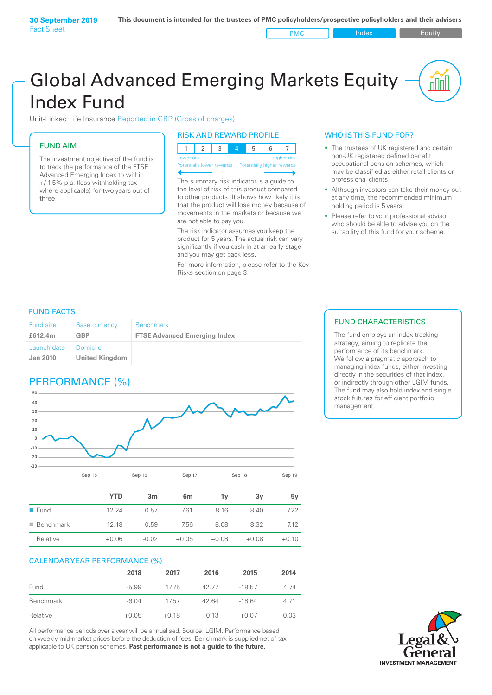# Global Advanced Emerging Markets Equity Index Fund

Unit-Linked Life Insurance Reported in GBP (Gross of charges)

### FUND AIM

The investment objective of the fund is to track the performance of the FTSE Advanced Emerging Index to within +/‑1.5% p.a. (less withholding tax where applicable) for two years out of three.

#### RISK AND REWARD PROFILE

| Lower risk |  |  | <b>Higher risk</b> |
|------------|--|--|--------------------|

ntially lower rewards

The summary risk indicator is a guide to the level of risk of this product compared to other products. It shows how likely it is that the product will lose money because of movements in the markets or because we are not able to pay you.

The risk indicator assumes you keep the product for 5 years. The actual risk can vary significantly if you cash in at an early stage and you may get back less.

For more information, please refer to the Key Risks section on page 3.

#### WHO IS THIS FUND FOR?

- The trustees of UK registered and certain non-UK registered defined benefit occupational pension schemes, which may be classified as either retail clients or professional clients.
- Although investors can take their money out at any time, the recommended minimum holding period is 5 years.
- Please refer to your professional advisor who should be able to advise you on the suitability of this fund for your scheme.

#### FUND FACTS

| <b>Fund size</b>        | <b>Base currency</b>              | <b>Benchmark</b>                    |
|-------------------------|-----------------------------------|-------------------------------------|
| £612.4m                 | GBP                               | <b>FTSE Advanced Emerging Index</b> |
| Launch date<br>Jan 2010 | Domicile<br><b>United Kingdom</b> |                                     |

## PERFORMANCE (%)



|                          | YTD     | 3m      | 6 <sub>m</sub> | 1ν      | 3y      | 5۷      |
|--------------------------|---------|---------|----------------|---------|---------|---------|
| $\blacksquare$ Fund      | 12 24   | 0.57    | 7.61           | 8 1 6   | 8.40    | 7.22    |
| $\blacksquare$ Benchmark | 12.18   | 0.59    | 7.56           | 8.08    | 8.32    | 7.12    |
| Relative                 | $+0.06$ | $-0.02$ | $+0.05$        | $+0.08$ | $+0.08$ | $+0.10$ |

#### CALENDAR YEAR PERFORMANCE (%)

|           | 2018    | 2017    | 2016    | 2015     | 2014    |
|-----------|---------|---------|---------|----------|---------|
| Fund      | $-5.99$ | 1775    | 42.77   | $-18.57$ | 4.74    |
| Benchmark | $-6.04$ | 1757    | 42.64   | $-1864$  | 4.71    |
| Relative  | $+0.05$ | $+0.18$ | $+0.13$ | $+0.07$  | $+0.03$ |

All performance periods over a year will be annualised. Source: LGIM. Performance based on weekly mid-market prices before the deduction of fees. Benchmark is supplied net of tax applicable to UK pension schemes. **Past performance is not a guide to the future.**

### FUND CHARACTERISTICS

The fund employs an index tracking strategy, aiming to replicate the performance of its benchmark. We follow a pragmatic approach to managing index funds, either investing directly in the securities of that index, or indirectly through other LGIM funds. The fund may also hold index and single stock futures for efficient portfolio management.

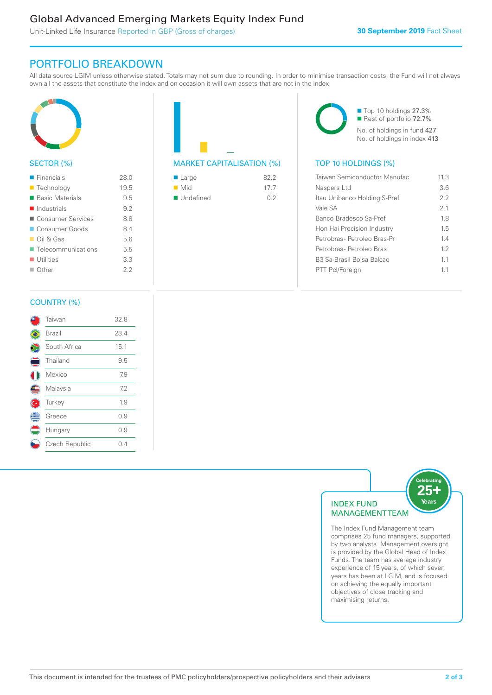### Global Advanced Emerging Markets Equity Index Fund

Unit-Linked Life Insurance Reported in GBP (Gross of charges)

### PORTFOLIO BREAKDOWN

All data source LGIM unless otherwise stated. Totals may not sum due to rounding. In order to minimise transaction costs, the Fund will not always own all the assets that constitute the index and on occasion it will own assets that are not in the index.



#### SECTOR (%)

| $\blacksquare$ Financials         | 28.0 |
|-----------------------------------|------|
| ■ Technology                      | 19.5 |
| ■ Basic Materials                 | 9.5  |
| Industrials                       | 9.2  |
| ■ Consumer Services               | 88   |
| ■ Consumer Goods                  | 84   |
| $\Box$ Oil & Gas                  | 56   |
| $\blacksquare$ Telecommunications | 5.5  |
| $\blacksquare$ Utilities          | 3.3  |
| $\Box$ Other                      | フフ   |
|                                   |      |



| $\blacksquare$ Large     | 822  |
|--------------------------|------|
| $\blacksquare$ Mid       | 17.7 |
| $\blacksquare$ Undefined | 02   |



| 11.3 |
|------|
| 36   |
| 22   |
| 2.1  |
| 1.8  |
| 15   |
| 14   |
| 12   |
| 11   |
| 11   |
|      |

#### COUNTRY (%)

|                           | Taiwan         | 32.8 |
|---------------------------|----------------|------|
|                           | Brazil         | 23.4 |
|                           | South Africa   | 15.1 |
| ⊂                         | Thailand       | 9.5  |
|                           | Mexico         | 7.9  |
| Œ                         | Malaysia       | 7.2  |
| $\overline{\mathsf{C}^*}$ | Turkey         | 1.9  |
| Ê                         | Greece         | 0.9  |
|                           | Hungary        | 0.9  |
|                           | Czech Republic | 0.4  |
|                           |                |      |



The Index Fund Management team comprises 25 fund managers, supported by two analysts. Management oversight is provided by the Global Head of Index Funds. The team has average industry experience of 15 years, of which seven years has been at LGIM, and is focused on achieving the equally important objectives of close tracking and maximising returns.